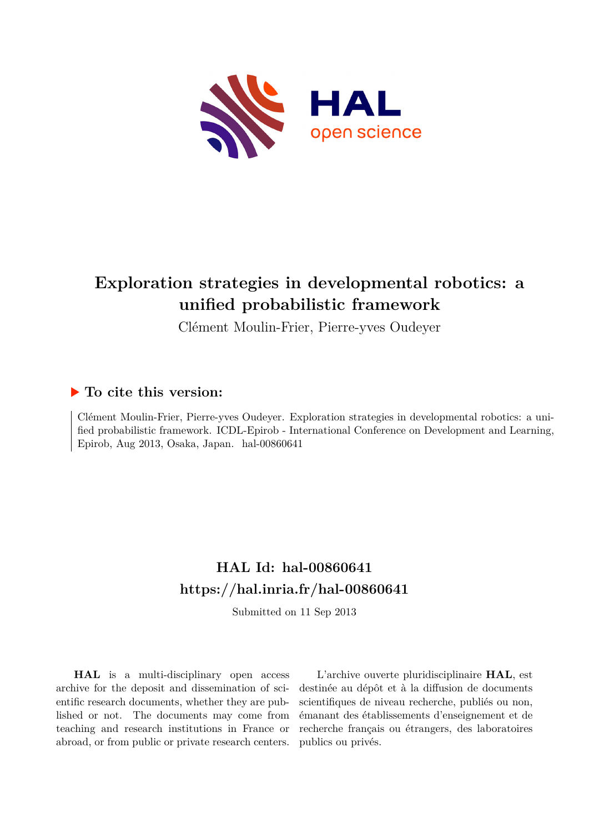

## **Exploration strategies in developmental robotics: a unified probabilistic framework**

Clément Moulin-Frier, Pierre-yves Oudeyer

### **To cite this version:**

Clément Moulin-Frier, Pierre-yves Oudeyer. Exploration strategies in developmental robotics: a unified probabilistic framework. ICDL-Epirob - International Conference on Development and Learning, Epirob, Aug 2013, Osaka, Japan. hal-00860641

## **HAL Id: hal-00860641 <https://hal.inria.fr/hal-00860641>**

Submitted on 11 Sep 2013

**HAL** is a multi-disciplinary open access archive for the deposit and dissemination of scientific research documents, whether they are published or not. The documents may come from teaching and research institutions in France or abroad, or from public or private research centers.

L'archive ouverte pluridisciplinaire **HAL**, est destinée au dépôt et à la diffusion de documents scientifiques de niveau recherche, publiés ou non, émanant des établissements d'enseignement et de recherche français ou étrangers, des laboratoires publics ou privés.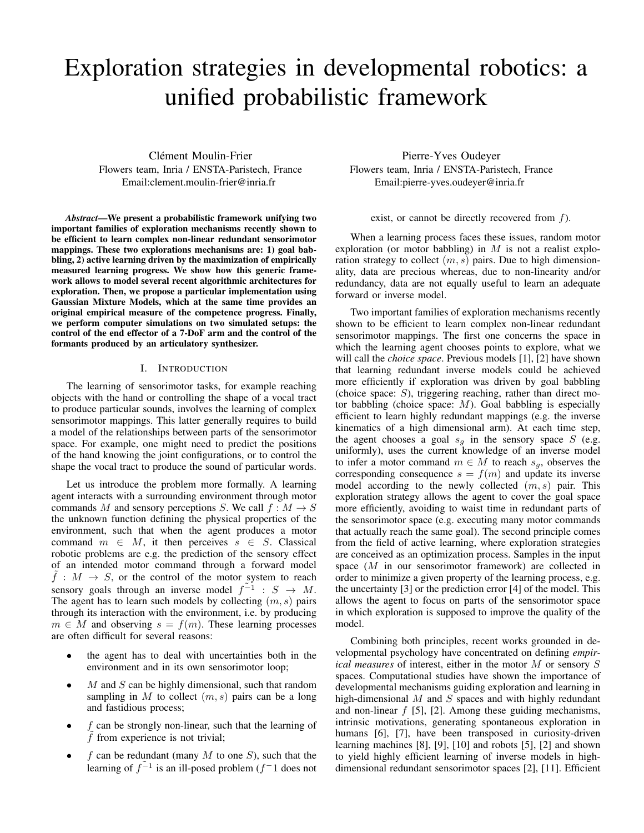# Exploration strategies in developmental robotics: a unified probabilistic framework

Clément Moulin-Frier Flowers team, Inria / ENSTA-Paristech, France Email:clement.moulin-frier@inria.fr

*Abstract*—We present a probabilistic framework unifying two important families of exploration mechanisms recently shown to be efficient to learn complex non-linear redundant sensorimotor mappings. These two explorations mechanisms are: 1) goal babbling, 2) active learning driven by the maximization of empirically measured learning progress. We show how this generic framework allows to model several recent algorithmic architectures for exploration. Then, we propose a particular implementation using Gaussian Mixture Models, which at the same time provides an original empirical measure of the competence progress. Finally, we perform computer simulations on two simulated setups: the control of the end effector of a 7-DoF arm and the control of the formants produced by an articulatory synthesizer.

#### I. INTRODUCTION

The learning of sensorimotor tasks, for example reaching objects with the hand or controlling the shape of a vocal tract to produce particular sounds, involves the learning of complex sensorimotor mappings. This latter generally requires to build a model of the relationships between parts of the sensorimotor space. For example, one might need to predict the positions of the hand knowing the joint configurations, or to control the shape the vocal tract to produce the sound of particular words.

Let us introduce the problem more formally. A learning agent interacts with a surrounding environment through motor commands M and sensory perceptions S. We call  $f : M \to S$ the unknown function defining the physical properties of the environment, such that when the agent produces a motor command  $m \in M$ , it then perceives  $s \in S$ . Classical robotic problems are e.g. the prediction of the sensory effect of an intended motor command through a forward model  $f : M \rightarrow S$ , or the control of the motor system to reach sensory goals through an inverse model  $f^{-1}$  :  $S \rightarrow M$ . The agent has to learn such models by collecting  $(m, s)$  pairs through its interaction with the environment, i.e. by producing  $m \in M$  and observing  $s = f(m)$ . These learning processes are often difficult for several reasons:

- the agent has to deal with uncertainties both in the environment and in its own sensorimotor loop;
- $M$  and  $S$  can be highly dimensional, such that random sampling in M to collect  $(m, s)$  pairs can be a long and fastidious process;
- $f$  can be strongly non-linear, such that the learning of  $\hat{f}$  from experience is not trivial;
- $f$  can be redundant (many  $M$  to one  $S$ ), such that the learning of  $\tilde{f}^{-1}$  is an ill-posed problem ( $f^{-1}$  does not

Pierre-Yves Oudeyer Flowers team, Inria / ENSTA-Paristech, France Email:pierre-yves.oudeyer@inria.fr

#### exist, or cannot be directly recovered from  $f$ ).

When a learning process faces these issues, random motor exploration (or motor babbling) in  $M$  is not a realist exploration strategy to collect  $(m, s)$  pairs. Due to high dimensionality, data are precious whereas, due to non-linearity and/or redundancy, data are not equally useful to learn an adequate forward or inverse model.

Two important families of exploration mechanisms recently shown to be efficient to learn complex non-linear redundant sensorimotor mappings. The first one concerns the space in which the learning agent chooses points to explore, what we will call the *choice space*. Previous models [1], [2] have shown that learning redundant inverse models could be achieved more efficiently if exploration was driven by goal babbling (choice space:  $S$ ), triggering reaching, rather than direct motor babbling (choice space:  $M$ ). Goal babbling is especially efficient to learn highly redundant mappings (e.g. the inverse kinematics of a high dimensional arm). At each time step, the agent chooses a goal  $s<sub>g</sub>$  in the sensory space S (e.g. uniformly), uses the current knowledge of an inverse model to infer a motor command  $m \in M$  to reach  $s_q$ , observes the corresponding consequence  $s = f(m)$  and update its inverse model according to the newly collected  $(m, s)$  pair. This exploration strategy allows the agent to cover the goal space more efficiently, avoiding to waist time in redundant parts of the sensorimotor space (e.g. executing many motor commands that actually reach the same goal). The second principle comes from the field of active learning, where exploration strategies are conceived as an optimization process. Samples in the input space (M in our sensorimotor framework) are collected in order to minimize a given property of the learning process, e.g. the uncertainty [3] or the prediction error [4] of the model. This allows the agent to focus on parts of the sensorimotor space in which exploration is supposed to improve the quality of the model.

Combining both principles, recent works grounded in developmental psychology have concentrated on defining *empirical measures* of interest, either in the motor M or sensory S spaces. Computational studies have shown the importance of developmental mechanisms guiding exploration and learning in high-dimensional  $M$  and  $S$  spaces and with highly redundant and non-linear  $f$  [5], [2]. Among these guiding mechanisms, intrinsic motivations, generating spontaneous exploration in humans [6], [7], have been transposed in curiosity-driven learning machines [8], [9], [10] and robots [5], [2] and shown to yield highly efficient learning of inverse models in highdimensional redundant sensorimotor spaces [2], [11]. Efficient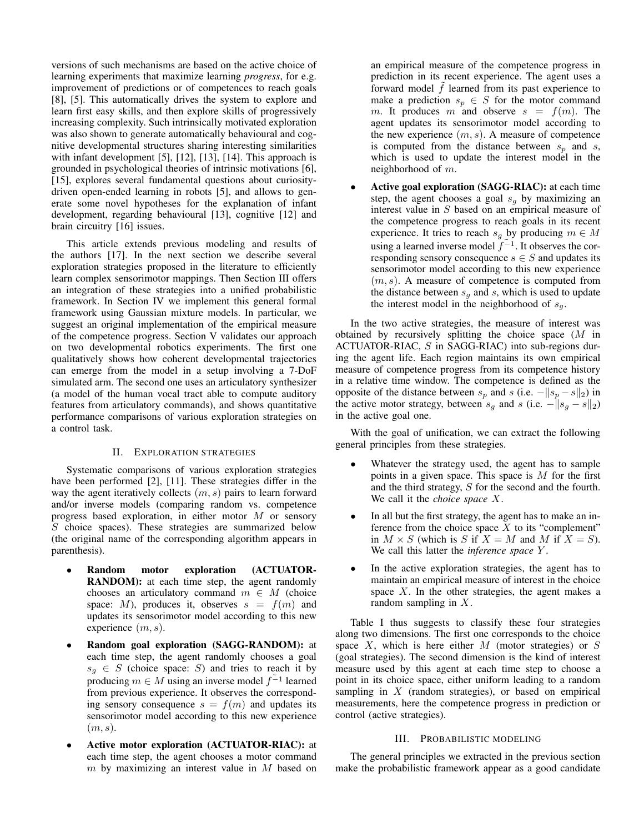versions of such mechanisms are based on the active choice of learning experiments that maximize learning *progress*, for e.g. improvement of predictions or of competences to reach goals [8], [5]. This automatically drives the system to explore and learn first easy skills, and then explore skills of progressively increasing complexity. Such intrinsically motivated exploration was also shown to generate automatically behavioural and cognitive developmental structures sharing interesting similarities with infant development [5], [12], [13], [14]. This approach is grounded in psychological theories of intrinsic motivations [6], [15], explores several fundamental questions about curiositydriven open-ended learning in robots [5], and allows to generate some novel hypotheses for the explanation of infant development, regarding behavioural [13], cognitive [12] and brain circuitry [16] issues.

This article extends previous modeling and results of the authors [17]. In the next section we describe several exploration strategies proposed in the literature to efficiently learn complex sensorimotor mappings. Then Section III offers an integration of these strategies into a unified probabilistic framework. In Section IV we implement this general formal framework using Gaussian mixture models. In particular, we suggest an original implementation of the empirical measure of the competence progress. Section V validates our approach on two developmental robotics experiments. The first one qualitatively shows how coherent developmental trajectories can emerge from the model in a setup involving a 7-DoF simulated arm. The second one uses an articulatory synthesizer (a model of the human vocal tract able to compute auditory features from articulatory commands), and shows quantitative performance comparisons of various exploration strategies on a control task.

#### II. EXPLORATION STRATEGIES

Systematic comparisons of various exploration strategies have been performed [2], [11]. These strategies differ in the way the agent iteratively collects  $(m, s)$  pairs to learn forward and/or inverse models (comparing random vs. competence progress based exploration, in either motor M or sensory S choice spaces). These strategies are summarized below (the original name of the corresponding algorithm appears in parenthesis).

- Random motor exploration (ACTUATOR-RANDOM): at each time step, the agent randomly chooses an articulatory command  $m \in M$  (choice space: M), produces it, observes  $s = f(m)$  and updates its sensorimotor model according to this new experience  $(m, s)$ .
- Random goal exploration (SAGG-RANDOM): at each time step, the agent randomly chooses a goal  $s_g \in S$  (choice space: S) and tries to reach it by producing  $m \in M$  using an inverse model  $f^{-1}$  learned from previous experience. It observes the corresponding sensory consequence  $s = f(m)$  and updates its sensorimotor model according to this new experience  $(m, s)$ .
- Active motor exploration (ACTUATOR-RIAC): at each time step, the agent chooses a motor command  $m$  by maximizing an interest value in  $M$  based on

an empirical measure of the competence progress in prediction in its recent experience. The agent uses a forward model  $\tilde{f}$  learned from its past experience to make a prediction  $s_p \in S$  for the motor command m. It produces m and observe  $s = f(m)$ . The agent updates its sensorimotor model according to the new experience  $(m, s)$ . A measure of competence is computed from the distance between  $s_n$  and s, which is used to update the interest model in the neighborhood of m.

Active goal exploration (SAGG-RIAC): at each time step, the agent chooses a goal  $s_q$  by maximizing an interest value in S based on an empirical measure of the competence progress to reach goals in its recent experience. It tries to reach  $s_g$  by producing  $m \in M$ using a learned inverse model  $\tilde{f}^{-1}$ . It observes the corresponding sensory consequence  $s \in S$  and updates its sensorimotor model according to this new experience  $(m, s)$ . A measure of competence is computed from the distance between  $s_g$  and s, which is used to update the interest model in the neighborhood of  $s_q$ .

In the two active strategies, the measure of interest was obtained by recursively splitting the choice space (M in ACTUATOR-RIAC, S in SAGG-RIAC) into sub-regions during the agent life. Each region maintains its own empirical measure of competence progress from its competence history in a relative time window. The competence is defined as the opposite of the distance between  $s_p$  and s (i.e.  $-\Vert s_p - s \Vert_2$ ) in the active motor strategy, between  $s_g$  and s (i.e.  $-\|s_g - s\|_2$ ) in the active goal one.

With the goal of unification, we can extract the following general principles from these strategies.

- Whatever the strategy used, the agent has to sample points in a given space. This space is  $M$  for the first and the third strategy, S for the second and the fourth. We call it the *choice space* X.
- In all but the first strategy, the agent has to make an inference from the choice space  $X$  to its "complement" in  $M \times S$  (which is S if  $X = M$  and M if  $X = S$ ). We call this latter the *inference space* Y .
- In the active exploration strategies, the agent has to maintain an empirical measure of interest in the choice space  $X$ . In the other strategies, the agent makes a random sampling in  $X$ .

Table I thus suggests to classify these four strategies along two dimensions. The first one corresponds to the choice space  $X$ , which is here either  $M$  (motor strategies) or  $S$ (goal strategies). The second dimension is the kind of interest measure used by this agent at each time step to choose a point in its choice space, either uniform leading to a random sampling in  $X$  (random strategies), or based on empirical measurements, here the competence progress in prediction or control (active strategies).

#### III. PROBABILISTIC MODELING

The general principles we extracted in the previous section make the probabilistic framework appear as a good candidate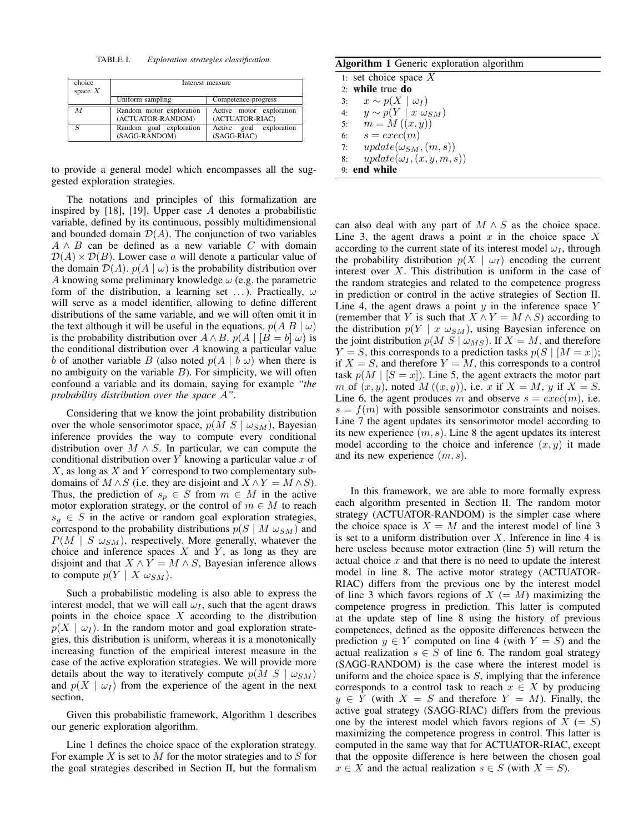TABLE I. *Exploration strategies classification.*

| choice<br>space $X$ | Interest measure                              |                                             |
|---------------------|-----------------------------------------------|---------------------------------------------|
|                     | Uniform sampling                              | Competence-progress                         |
|                     | Random motor exploration<br>(ACTUATOR-RANDOM) | Active motor exploration<br>(ACTUATOR-RIAC) |
| $\overline{S}$      | Random goal exploration<br>(SAGG-RANDOM)      | Active goal exploration<br>(SAGG-RIAC)      |

to provide a general model which encompasses all the suggested exploration strategies.

The notations and principles of this formalization are inspired by  $[18]$ ,  $[19]$ . Upper case A denotes a probabilistic variable, defined by its continuous, possibly multidimensional and bounded domain  $\mathcal{D}(A)$ . The conjunction of two variables  $A \wedge B$  can be defined as a new variable C with domain  $\mathcal{D}(A) \times \mathcal{D}(B)$ . Lower case a will denote a particular value of the domain  $\mathcal{D}(A)$ .  $p(A | \omega)$  is the probability distribution over A knowing some preliminary knowledge  $\omega$  (e.g. the parametric form of the distribution, a learning set ...). Practically,  $\omega$ will serve as a model identifier, allowing to define different distributions of the same variable, and we will often omit it in the text although it will be useful in the equations.  $p(A \mid B \mid \omega)$ is the probability distribution over  $A \wedge B$ .  $p(A | [B = b] \omega)$  is the conditional distribution over A knowing a particular value b of another variable B (also noted  $p(A \mid b\omega)$ ) when there is no ambiguity on the variable  $B$ ). For simplicity, we will often confound a variable and its domain, saying for example *"the probability distribution over the space* A*"*.

Considering that we know the joint probability distribution over the whole sensorimotor space,  $p(M S | \omega_{SM})$ , Bayesian inference provides the way to compute every conditional distribution over  $M \wedge S$ . In particular, we can compute the conditional distribution over  $Y$  knowing a particular value  $x$  of  $X$ , as long as X and Y correspond to two complementary subdomains of  $M \wedge S$  (i.e. they are disjoint and  $X \wedge Y = M \wedge S$ ). Thus, the prediction of  $s_p \in S$  from  $m \in M$  in the active motor exploration strategy, or the control of  $m \in M$  to reach  $s_q \in S$  in the active or random goal exploration strategies, correspond to the probability distributions  $p(S \mid M \omega_{SM})$  and  $P(M \mid S \omega_{SM})$ , respectively. More generally, whatever the choice and inference spaces  $X$  and  $Y$ , as long as they are disjoint and that  $X \wedge Y = M \wedge S$ , Bayesian inference allows to compute  $p(Y \mid X \omega_{SM})$ .

Such a probabilistic modeling is also able to express the interest model, that we will call  $\omega_I$ , such that the agent draws points in the choice space  $X$  according to the distribution  $p(X \mid \omega_I)$ . In the random motor and goal exploration strategies, this distribution is uniform, whereas it is a monotonically increasing function of the empirical interest measure in the case of the active exploration strategies. We will provide more details about the way to iteratively compute  $p(M S | \omega_{SM})$ and  $p(X \mid \omega_I)$  from the experience of the agent in the next section.

Given this probabilistic framework, Algorithm 1 describes our generic exploration algorithm.

Line 1 defines the choice space of the exploration strategy. For example  $X$  is set to  $M$  for the motor strategies and to  $S$  for the goal strategies described in Section II, but the formalism

#### Algorithm 1 Generic exploration algorithm

|    | 1: set choice space $X$             |
|----|-------------------------------------|
|    | $2:$ while true do                  |
| 3: | $x \sim p(X \mid \omega_I)$         |
|    | 4: $y \sim p(Y \mid x \omega_{SM})$ |
| 5: | $m = M((x, y))$                     |
|    | 6: $s = exec(m)$                    |
| 7: | $update(\omega_{SM}, (m, s))$       |
| 8: | $update(\omega_I, (x, y, m, s))$    |
|    | $9:$ end while                      |

can also deal with any part of  $M \wedge S$  as the choice space. Line 3, the agent draws a point  $x$  in the choice space  $X$ according to the current state of its interest model  $\omega_I$ , through the probability distribution  $p(X \mid \omega_I)$  encoding the current interest over  $X$ . This distribution is uniform in the case of the random strategies and related to the competence progress in prediction or control in the active strategies of Section II. Line 4, the agent draws a point  $y$  in the inference space  $Y$ (remember that Y is such that  $X \wedge Y = M \wedge S$ ) according to the distribution  $p(Y \mid x \omega_{SM})$ , using Bayesian inference on the joint distribution  $p(M S | \omega_{MS})$ . If  $X = M$ , and therefore  $Y = S$ , this corresponds to a prediction tasks  $p(S | [M = x])$ ; if  $X = S$ , and therefore  $Y = M$ , this corresponds to a control task  $p(M | [S = x])$ . Line 5, the agent extracts the motor part m of  $(x, y)$ , noted  $M((x, y))$ , i.e. x if  $X = M$ , y if  $X = S$ . Line 6, the agent produces m and observe  $s = exec(m)$ , i.e.  $s = f(m)$  with possible sensorimotor constraints and noises. Line 7 the agent updates its sensorimotor model according to its new experience  $(m, s)$ . Line 8 the agent updates its interest model according to the choice and inference  $(x, y)$  it made and its new experience  $(m, s)$ .

In this framework, we are able to more formally express each algorithm presented in Section II. The random motor strategy (ACTUATOR-RANDOM) is the simpler case where the choice space is  $X = M$  and the interest model of line 3 is set to a uniform distribution over  $X$ . Inference in line 4 is here useless because motor extraction (line 5) will return the actual choice  $x$  and that there is no need to update the interest model in line 8. The active motor strategy (ACTUATOR-RIAC) differs from the previous one by the interest model of line 3 which favors regions of  $X (= M)$  maximizing the competence progress in prediction. This latter is computed at the update step of line 8 using the history of previous competences, defined as the opposite differences between the prediction  $y \in Y$  computed on line 4 (with  $Y = S$ ) and the actual realization  $s \in S$  of line 6. The random goal strategy (SAGG-RANDOM) is the case where the interest model is uniform and the choice space is  $S$ , implying that the inference corresponds to a control task to reach  $x \in X$  by producing  $y \in Y$  (with  $X = S$  and therefore  $Y = M$ ). Finally, the active goal strategy (SAGG-RIAC) differs from the previous one by the interest model which favors regions of  $X (= S)$ maximizing the competence progress in control. This latter is computed in the same way that for ACTUATOR-RIAC, except that the opposite difference is here between the chosen goal  $x \in X$  and the actual realization  $s \in S$  (with  $X = S$ ).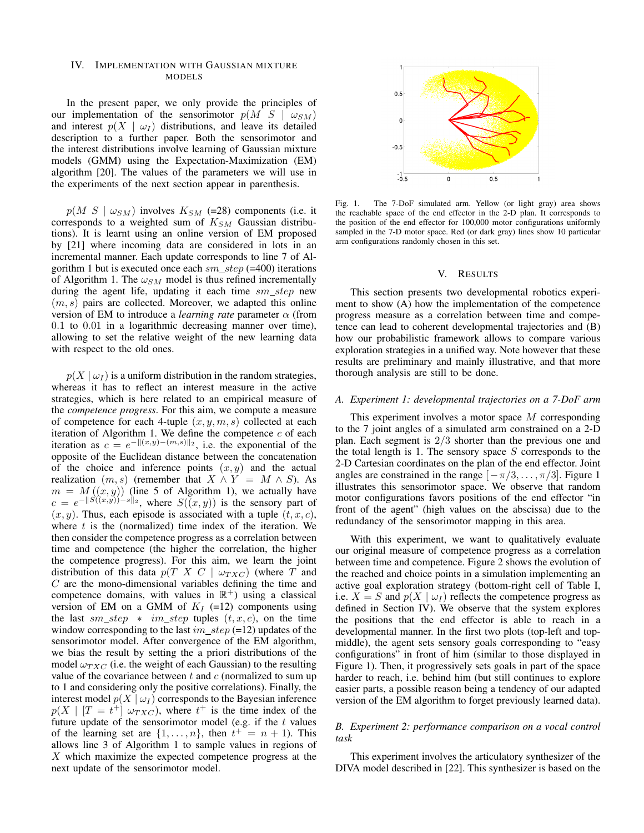#### IV. IMPLEMENTATION WITH GAUSSIAN MIXTURE MODELS

In the present paper, we only provide the principles of our implementation of the sensorimotor  $p(M \mid S \mid \omega_{SM})$ and interest  $p(X \mid \omega_I)$  distributions, and leave its detailed description to a further paper. Both the sensorimotor and the interest distributions involve learning of Gaussian mixture models (GMM) using the Expectation-Maximization (EM) algorithm [20]. The values of the parameters we will use in the experiments of the next section appear in parenthesis.

 $p(M S \mid \omega_{SM})$  involves  $K_{SM}$  (=28) components (i.e. it corresponds to a weighted sum of  $K_{SM}$  Gaussian distributions). It is learnt using an online version of EM proposed by [21] where incoming data are considered in lots in an incremental manner. Each update corresponds to line 7 of Algorithm 1 but is executed once each  $sm\_step$  (=400) iterations of Algorithm 1. The  $\omega_{SM}$  model is thus refined incrementally during the agent life, updating it each time  $sm\_step$  new  $(m, s)$  pairs are collected. Moreover, we adapted this online version of EM to introduce a *learning rate* parameter  $\alpha$  (from 0.1 to 0.01 in a logarithmic decreasing manner over time), allowing to set the relative weight of the new learning data with respect to the old ones.

 $p(X | \omega_I)$  is a uniform distribution in the random strategies, whereas it has to reflect an interest measure in the active strategies, which is here related to an empirical measure of the *competence progress*. For this aim, we compute a measure of competence for each 4-tuple  $(x, y, m, s)$  collected at each iteration of Algorithm 1. We define the competence  $c$  of each iteration as  $c = e^{-\|(x,y)-(m,s)\|_2}$ , i.e. the exponential of the opposite of the Euclidean distance between the concatenation of the choice and inference points  $(x, y)$  and the actual realization  $(m, s)$  (remember that  $X \wedge Y = M \wedge S$ ). As  $m = M((x, y))$  (line 5 of Algorithm 1), we actually have  $c = e^{-\|S((x,y)) - s\|_2}$ , where  $S((x,y))$  is the sensory part of  $(x, y)$ . Thus, each episode is associated with a tuple  $(t, x, c)$ , where  $t$  is the (normalized) time index of the iteration. We then consider the competence progress as a correlation between time and competence (the higher the correlation, the higher the competence progress). For this aim, we learn the joint distribution of this data  $p(T \mid X \mid C \mid \omega_{TXC})$  (where T and  $C$  are the mono-dimensional variables defining the time and competence domains, with values in  $\mathbb{R}^+$ ) using a classical version of EM on a GMM of  $K_I$  (=12) components using the last  $sm\_step$   $*$   $im\_step$  tuples  $(t, x, c)$ , on the time window corresponding to the last  $im\_step (=12)$  updates of the sensorimotor model. After convergence of the EM algorithm, we bias the result by setting the a priori distributions of the model  $\omega_{TXC}$  (i.e. the weight of each Gaussian) to the resulting value of the covariance between  $t$  and  $c$  (normalized to sum up to 1 and considering only the positive correlations). Finally, the interest model  $p(X | \omega_I)$  corresponds to the Bayesian inference  $p(X \mid [T = t^+] \omega_{TXC})$ , where  $t^+$  is the time index of the future update of the sensorimotor model (e.g. if the  $t$  values of the learning set are  $\{1, \ldots, n\}$ , then  $t^+ = n + 1$ ). This allows line 3 of Algorithm 1 to sample values in regions of  $X$  which maximize the expected competence progress at the next update of the sensorimotor model.



Fig. 1. The 7-DoF simulated arm. Yellow (or light gray) area shows the reachable space of the end effector in the 2-D plan. It corresponds to the position of the end effector for 100,000 motor configurations uniformly sampled in the 7-D motor space. Red (or dark gray) lines show 10 particular arm configurations randomly chosen in this set.

#### V. RESULTS

This section presents two developmental robotics experiment to show (A) how the implementation of the competence progress measure as a correlation between time and competence can lead to coherent developmental trajectories and (B) how our probabilistic framework allows to compare various exploration strategies in a unified way. Note however that these results are preliminary and mainly illustrative, and that more thorough analysis are still to be done.

#### *A. Experiment 1: developmental trajectories on a 7-DoF arm*

This experiment involves a motor space M corresponding to the 7 joint angles of a simulated arm constrained on a 2-D plan. Each segment is 2/3 shorter than the previous one and the total length is 1. The sensory space  $S$  corresponds to the 2-D Cartesian coordinates on the plan of the end effector. Joint angles are constrained in the range  $[-\pi/3, \ldots, \pi/3]$ . Figure 1 illustrates this sensorimotor space. We observe that random motor configurations favors positions of the end effector "in front of the agent" (high values on the abscissa) due to the redundancy of the sensorimotor mapping in this area.

With this experiment, we want to qualitatively evaluate our original measure of competence progress as a correlation between time and competence. Figure 2 shows the evolution of the reached and choice points in a simulation implementing an active goal exploration strategy (bottom-right cell of Table I, i.e.  $X = S$  and  $p(X | \omega_I)$  reflects the competence progress as defined in Section IV). We observe that the system explores the positions that the end effector is able to reach in a developmental manner. In the first two plots (top-left and topmiddle), the agent sets sensory goals corresponding to "easy configurations" in front of him (similar to those displayed in Figure 1). Then, it progressively sets goals in part of the space harder to reach, i.e. behind him (but still continues to explore easier parts, a possible reason being a tendency of our adapted version of the EM algorithm to forget previously learned data).

#### *B. Experiment 2: performance comparison on a vocal control task*

This experiment involves the articulatory synthesizer of the DIVA model described in [22]. This synthesizer is based on the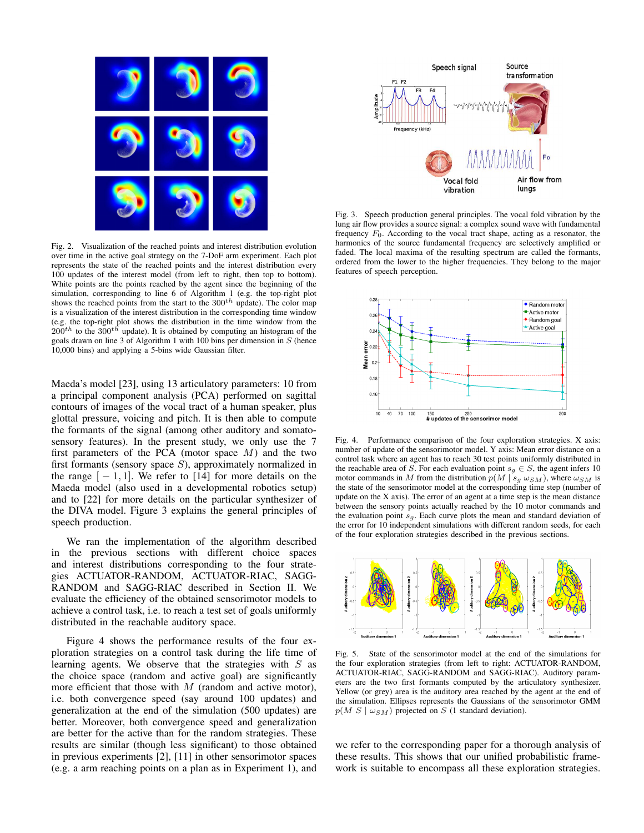

Fig. 2. Visualization of the reached points and interest distribution evolution over time in the active goal strategy on the 7-DoF arm experiment. Each plot represents the state of the reached points and the interest distribution every 100 updates of the interest model (from left to right, then top to bottom). White points are the points reached by the agent since the beginning of the simulation, corresponding to line 6 of Algorithm 1 (e.g. the top-right plot shows the reached points from the start to the  $300<sup>th</sup>$  update). The color map is a visualization of the interest distribution in the corresponding time window (e.g. the top-right plot shows the distribution in the time window from the  $200^{th}$  to the  $300^{th}$  update). It is obtained by computing an histogram of the goals drawn on line 3 of Algorithm 1 with 100 bins per dimension in  $S$  (hence 10,000 bins) and applying a 5-bins wide Gaussian filter.

Maeda's model [23], using 13 articulatory parameters: 10 from a principal component analysis (PCA) performed on sagittal contours of images of the vocal tract of a human speaker, plus glottal pressure, voicing and pitch. It is then able to compute the formants of the signal (among other auditory and somatosensory features). In the present study, we only use the 7 first parameters of the PCA (motor space  $M$ ) and the two first formants (sensory space  $S$ ), approximately normalized in the range  $[-1, 1]$ . We refer to [14] for more details on the Maeda model (also used in a developmental robotics setup) and to [22] for more details on the particular synthesizer of the DIVA model. Figure 3 explains the general principles of speech production.

We ran the implementation of the algorithm described in the previous sections with different choice spaces and interest distributions corresponding to the four strategies ACTUATOR-RANDOM, ACTUATOR-RIAC, SAGG-RANDOM and SAGG-RIAC described in Section II. We evaluate the efficiency of the obtained sensorimotor models to achieve a control task, i.e. to reach a test set of goals uniformly distributed in the reachable auditory space.

Figure 4 shows the performance results of the four exploration strategies on a control task during the life time of learning agents. We observe that the strategies with  $S$  as the choice space (random and active goal) are significantly more efficient that those with  $M$  (random and active motor), i.e. both convergence speed (say around 100 updates) and generalization at the end of the simulation (500 updates) are better. Moreover, both convergence speed and generalization are better for the active than for the random strategies. These results are similar (though less significant) to those obtained in previous experiments [2], [11] in other sensorimotor spaces (e.g. a arm reaching points on a plan as in Experiment 1), and



Fig. 3. Speech production general principles. The vocal fold vibration by the lung air flow provides a source signal: a complex sound wave with fundamental frequency  $F_0$ . According to the vocal tract shape, acting as a resonator, the harmonics of the source fundamental frequency are selectively amplified or faded. The local maxima of the resulting spectrum are called the formants, ordered from the lower to the higher frequencies. They belong to the major features of speech perception.



Fig. 4. Performance comparison of the four exploration strategies. X axis: number of update of the sensorimotor model. Y axis: Mean error distance on a control task where an agent has to reach 30 test points uniformly distributed in the reachable area of S. For each evaluation point  $s_g \in S$ , the agent infers 10 motor commands in M from the distribution  $p(M \mid s_g \omega_{SM})$ , where  $\omega_{SM}$  is the state of the sensorimotor model at the corresponding time step (number of update on the X axis). The error of an agent at a time step is the mean distance between the sensory points actually reached by the 10 motor commands and the evaluation point  $s_g$ . Each curve plots the mean and standard deviation of the error for 10 independent simulations with different random seeds, for each of the four exploration strategies described in the previous sections.



Fig. 5. State of the sensorimotor model at the end of the simulations for the four exploration strategies (from left to right: ACTUATOR-RANDOM, ACTUATOR-RIAC, SAGG-RANDOM and SAGG-RIAC). Auditory parameters are the two first formants computed by the articulatory synthesizer. Yellow (or grey) area is the auditory area reached by the agent at the end of the simulation. Ellipses represents the Gaussians of the sensorimotor GMM  $p(M S | \omega_{SM})$  projected on S (1 standard deviation).

we refer to the corresponding paper for a thorough analysis of these results. This shows that our unified probabilistic framework is suitable to encompass all these exploration strategies.